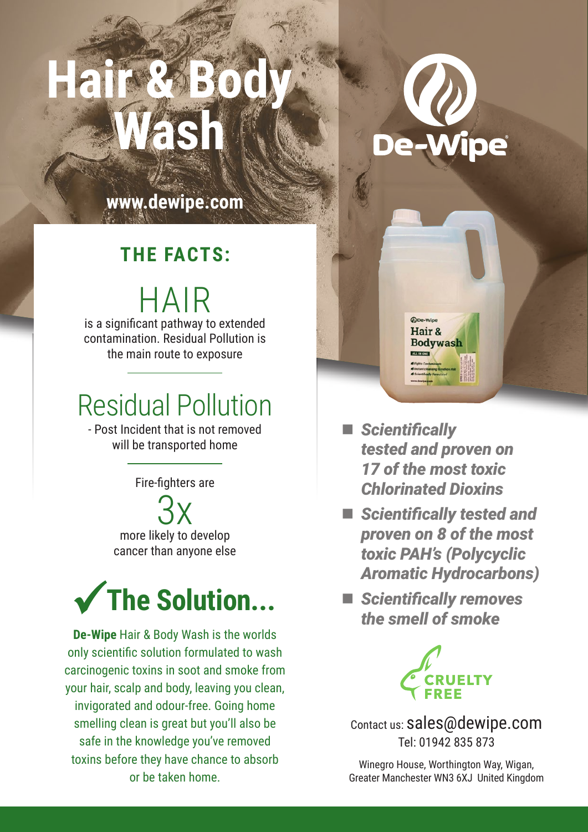# **Hair & Body Wash**



**www.dewipe.com**

#### **THE FACTS:**

HAIR is a significant pathway to extended contamination. Residual Pollution is the main route to exposure

#### Residual Pollution

- Post Incident that is not removed will be transported home

Fire-fighters are

3x more likely to develop cancer than anyone else



**De-Wipe** Hair & Body Wash is the worlds only scientific solution formulated to wash carcinogenic toxins in soot and smoke from your hair, scalp and body, leaving you clean, invigorated and odour-free. Going home smelling clean is great but you'll also be safe in the knowledge you've removed toxins before they have chance to absorb or be taken home.

 *Scientifically tested and proven on 17 of the most toxic Chlorinated Dioxins* 

*ODe-Wipe* Hair & **Bodywash** 

- *Scientifically tested and proven on 8 of the most toxic PAH's (Polycyclic Aromatic Hydrocarbons)*
- *Scientifically removes the smell of smoke*



Contact us: sales@dewipe.com Tel: 01942 835 873

Winegro House, Worthington Way, Wigan, Greater Manchester WN3 6XJ United Kingdom